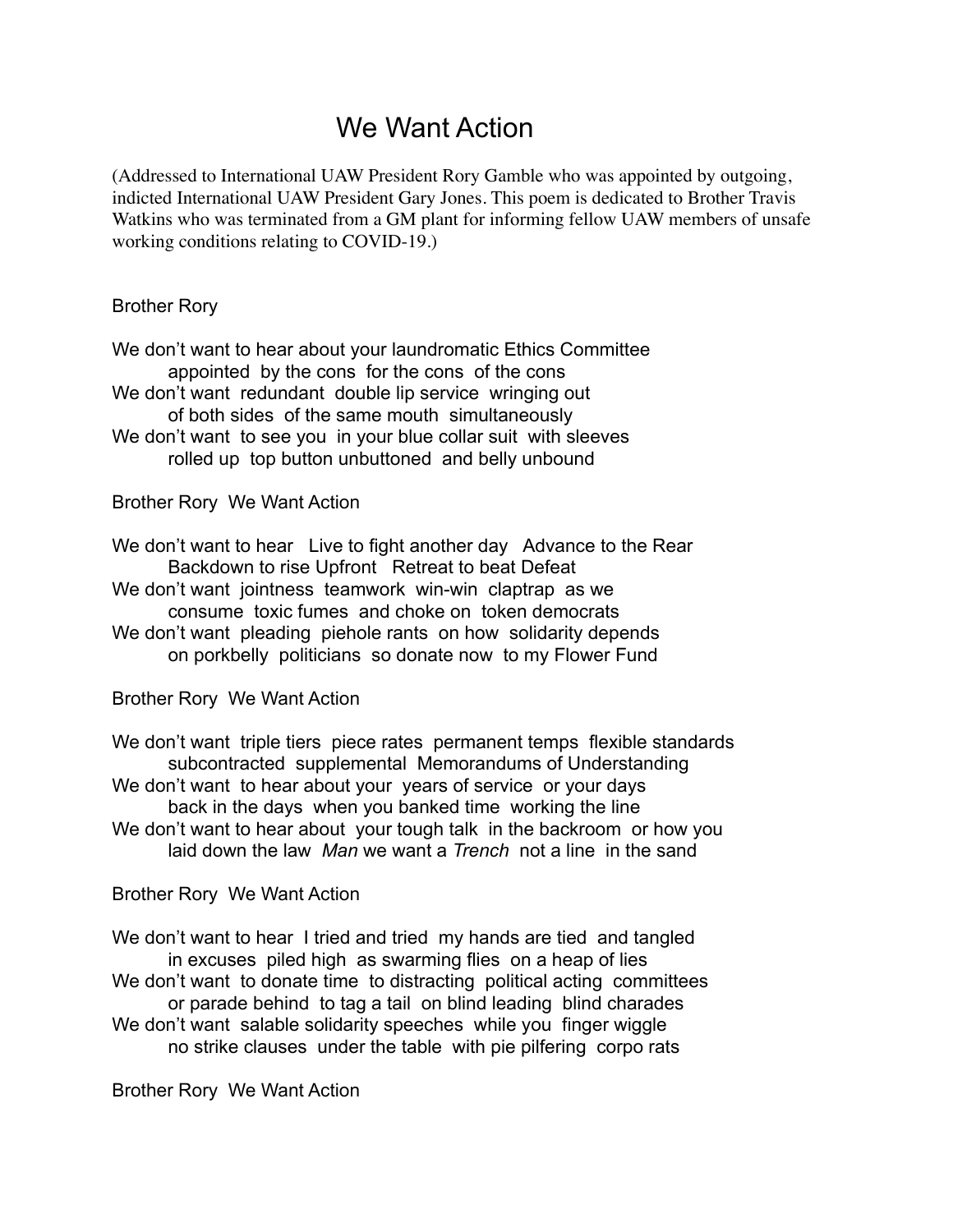## We Want Action

(Addressed to International UAW President Rory Gamble who was appointed by outgoing, indicted International UAW President Gary Jones. This poem is dedicated to Brother Travis Watkins who was terminated from a GM plant for informing fellow UAW members of unsafe working conditions relating to COVID-19.)

## Brother Rory

We don't want to hear about your laundromatic Ethics Committee appointed by the cons for the cons of the cons We don't want redundant double lip service wringing out of both sides of the same mouth simultaneously We don't want to see you in your blue collar suit with sleeves rolled up top button unbuttoned and belly unbound

## Brother Rory We Want Action

We don't want to hear Live to fight another day Advance to the Rear Backdown to rise Upfront Retreat to beat Defeat

- We don't want jointness teamwork win-win claptrap as we consume toxic fumes and choke on token democrats
- We don't want pleading piehole rants on how solidarity depends on porkbelly politicians so donate now to my Flower Fund

Brother Rory We Want Action

- We don't want triple tiers piece rates permanent temps flexible standards subcontracted supplemental Memorandums of Understanding
- We don't want to hear about your years of service or your days back in the days when you banked time working the line
- We don't want to hear about your tough talk in the backroom or how you laid down the law *Man* we want a *Trench* not a line in the sand

## Brother Rory We Want Action

We don't want to hear I tried and tried my hands are tied and tangled in excuses piled high as swarming flies on a heap of lies

- We don't want to donate time to distracting political acting committees or parade behind to tag a tail on blind leading blind charades
- We don't want salable solidarity speeches while you finger wiggle no strike clauses under the table with pie pilfering corpo rats

Brother Rory We Want Action